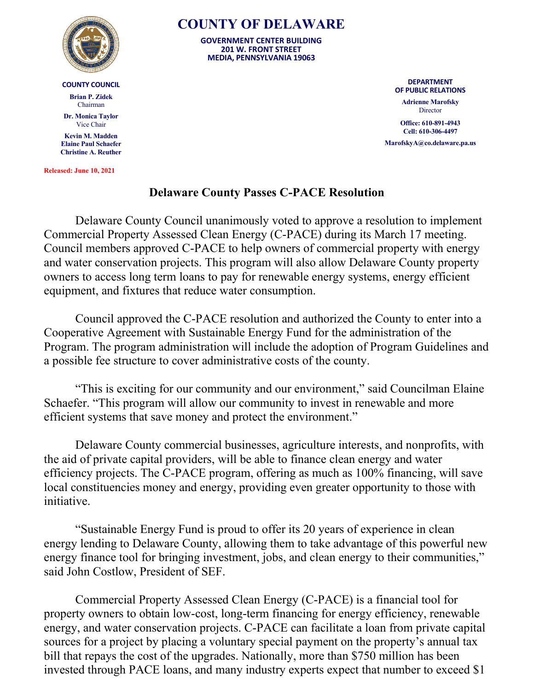

## **COUNTY COUNCIL**

**Brian P. Zidek** Chairman

**Dr. Monica Taylor** Vice Chair

**Kevin M. Madden Elaine Paul Schaefer Christine A. Reuther**

**Released: June 10, 2021**

## **COUNTY OF DELAWARE**

**GOVERNMENT CENTER BUILDING 201 W. FRONT STREET MEDIA, PENNSYLVANIA 19063**

> **DEPARTMENT OF PUBLIC RELATIONS**

**Adrienne Marofsky Director** 

**Office: 610-891-4943 Cell: 610-306-4497**

**MarofskyA@co.delaware.pa.us**

## **Delaware County Passes C-PACE Resolution**

Delaware County Council unanimously voted to approve a resolution to implement Commercial Property Assessed Clean Energy (C-PACE) during its March 17 meeting. Council members approved C-PACE to help owners of commercial property with energy and water conservation projects. This program will also allow Delaware County property owners to access long term loans to pay for renewable energy systems, energy efficient equipment, and fixtures that reduce water consumption.

Council approved the C-PACE resolution and authorized the County to enter into a Cooperative Agreement with Sustainable Energy Fund for the administration of the Program. The program administration will include the adoption of Program Guidelines and a possible fee structure to cover administrative costs of the county.

"This is exciting for our community and our environment," said Councilman Elaine Schaefer. "This program will allow our community to invest in renewable and more efficient systems that save money and protect the environment."

Delaware County commercial businesses, agriculture interests, and nonprofits, with the aid of private capital providers, will be able to finance clean energy and water efficiency projects. The C-PACE program, offering as much as 100% financing, will save local constituencies money and energy, providing even greater opportunity to those with initiative.

"Sustainable Energy Fund is proud to offer its 20 years of experience in clean energy lending to Delaware County, allowing them to take advantage of this powerful new energy finance tool for bringing investment, jobs, and clean energy to their communities," said John Costlow, President of SEF.

Commercial Property Assessed Clean Energy (C-PACE) is a financial tool for property owners to obtain low-cost, long-term financing for energy efficiency, renewable energy, and water conservation projects. C-PACE can facilitate a loan from private capital sources for a project by placing a voluntary special payment on the property's annual tax bill that repays the cost of the upgrades. Nationally, more than \$750 million has been invested through PACE loans, and many industry experts expect that number to exceed \$1